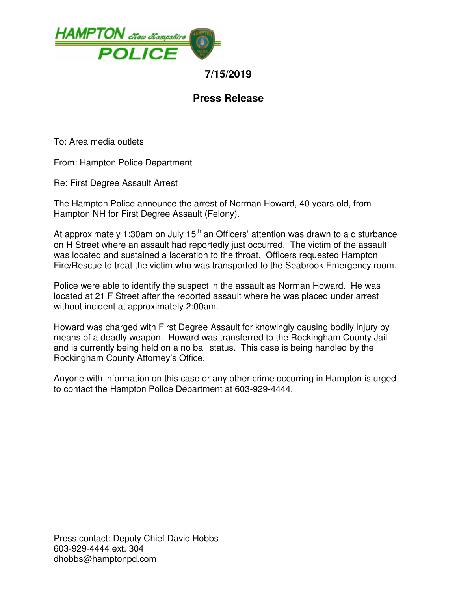

## **7/15/2019**

## **Press Release**

To: Area media outlets

From: Hampton Police Department

Re: First Degree Assault Arrest

The Hampton Police announce the arrest of Norman Howard, 40 years old, from Hampton NH for First Degree Assault (Felony).

At approximately 1:30am on July  $15<sup>th</sup>$  an Officers' attention was drawn to a disturbance on H Street where an assault had reportedly just occurred. The victim of the assault was located and sustained a laceration to the throat. Officers requested Hampton Fire/Rescue to treat the victim who was transported to the Seabrook Emergency room.

Police were able to identify the suspect in the assault as Norman Howard. He was located at 21 F Street after the reported assault where he was placed under arrest without incident at approximately 2:00am.

Howard was charged with First Degree Assault for knowingly causing bodily injury by means of a deadly weapon. Howard was transferred to the Rockingham County Jail and is currently being held on a no bail status. This case is being handled by the Rockingham County Attorney's Office.

Anyone with information on this case or any other crime occurring in Hampton is urged to contact the Hampton Police Department at 603-929-4444.

Press contact: Deputy Chief David Hobbs 603-929-4444 ext. 304 dhobbs@hamptonpd.com